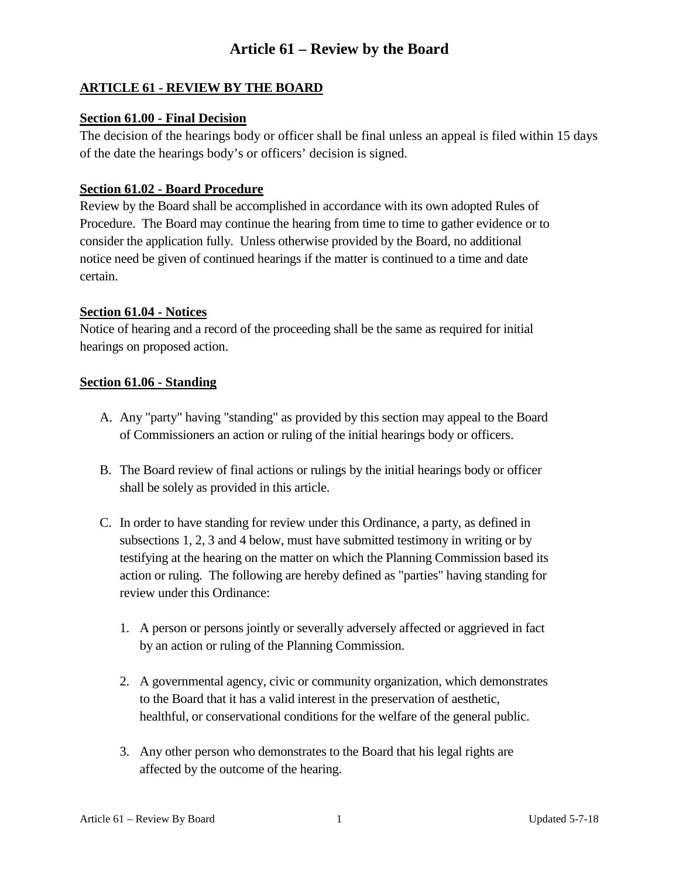# **Article 61 – Review by the Board**

### **ARTICLE 61 - REVIEW BY THE BOARD**

#### **Section 61.00 - Final Decision**

The decision of the hearings body or officer shall be final unless an appeal is filed within 15 days of the date the hearings body's or officers' decision is signed.

#### **Section 61.02 - Board Procedure**

Review by the Board shall be accomplished in accordance with its own adopted Rules of Procedure. The Board may continue the hearing from time to time to gather evidence or to consider the application fully. Unless otherwise provided by the Board, no additional notice need be given of continued hearings if the matter is continued to a time and date certain.

#### **Section 61.04 - Notices**

Notice of hearing and a record of the proceeding shall be the same as required for initial hearings on proposed action.

### **Section 61.06 - Standing**

- A. Any "party" having "standing" as provided by this section may appeal to the Board of Commissioners an action or ruling of the initial hearings body or officers.
- B. The Board review of final actions or rulings by the initial hearings body or officer shall be solely as provided in this article.
- C. In order to have standing for review under this Ordinance, a party, as defined in subsections 1, 2, 3 and 4 below, must have submitted testimony in writing or by testifying at the hearing on the matter on which the Planning Commission based its action or ruling. The following are hereby defined as "parties" having standing for review under this Ordinance:
	- 1. A person or persons jointly or severally adversely affected or aggrieved in fact by an action or ruling of the Planning Commission.
	- 2. A governmental agency, civic or community organization, which demonstrates to the Board that it has a valid interest in the preservation of aesthetic, healthful, or conservational conditions for the welfare of the general public.
	- 3. Any other person who demonstrates to the Board that his legal rights are affected by the outcome of the hearing.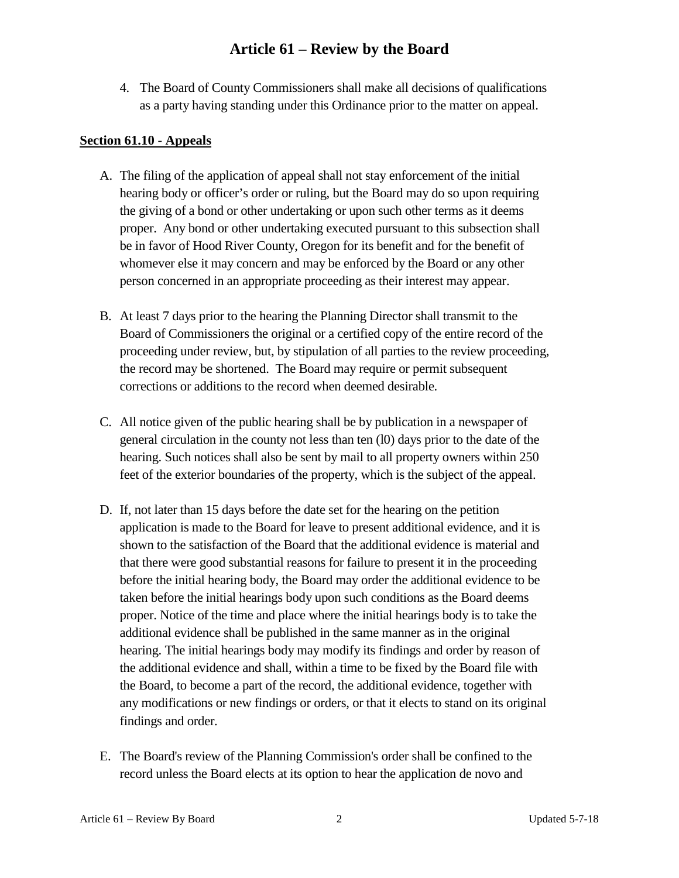## **Article 61 – Review by the Board**

4. The Board of County Commissioners shall make all decisions of qualifications as a party having standing under this Ordinance prior to the matter on appeal.

#### **Section 61.10 - Appeals**

- A. The filing of the application of appeal shall not stay enforcement of the initial hearing body or officer's order or ruling, but the Board may do so upon requiring the giving of a bond or other undertaking or upon such other terms as it deems proper. Any bond or other undertaking executed pursuant to this subsection shall be in favor of Hood River County, Oregon for its benefit and for the benefit of whomever else it may concern and may be enforced by the Board or any other person concerned in an appropriate proceeding as their interest may appear.
- B. At least 7 days prior to the hearing the Planning Director shall transmit to the Board of Commissioners the original or a certified copy of the entire record of the proceeding under review, but, by stipulation of all parties to the review proceeding, the record may be shortened. The Board may require or permit subsequent corrections or additions to the record when deemed desirable.
- C. All notice given of the public hearing shall be by publication in a newspaper of general circulation in the county not less than ten (l0) days prior to the date of the hearing. Such notices shall also be sent by mail to all property owners within 250 feet of the exterior boundaries of the property, which is the subject of the appeal.
- D. If, not later than 15 days before the date set for the hearing on the petition application is made to the Board for leave to present additional evidence, and it is shown to the satisfaction of the Board that the additional evidence is material and that there were good substantial reasons for failure to present it in the proceeding before the initial hearing body, the Board may order the additional evidence to be taken before the initial hearings body upon such conditions as the Board deems proper. Notice of the time and place where the initial hearings body is to take the additional evidence shall be published in the same manner as in the original hearing. The initial hearings body may modify its findings and order by reason of the additional evidence and shall, within a time to be fixed by the Board file with the Board, to become a part of the record, the additional evidence, together with any modifications or new findings or orders, or that it elects to stand on its original findings and order.
- E. The Board's review of the Planning Commission's order shall be confined to the record unless the Board elects at its option to hear the application de novo and